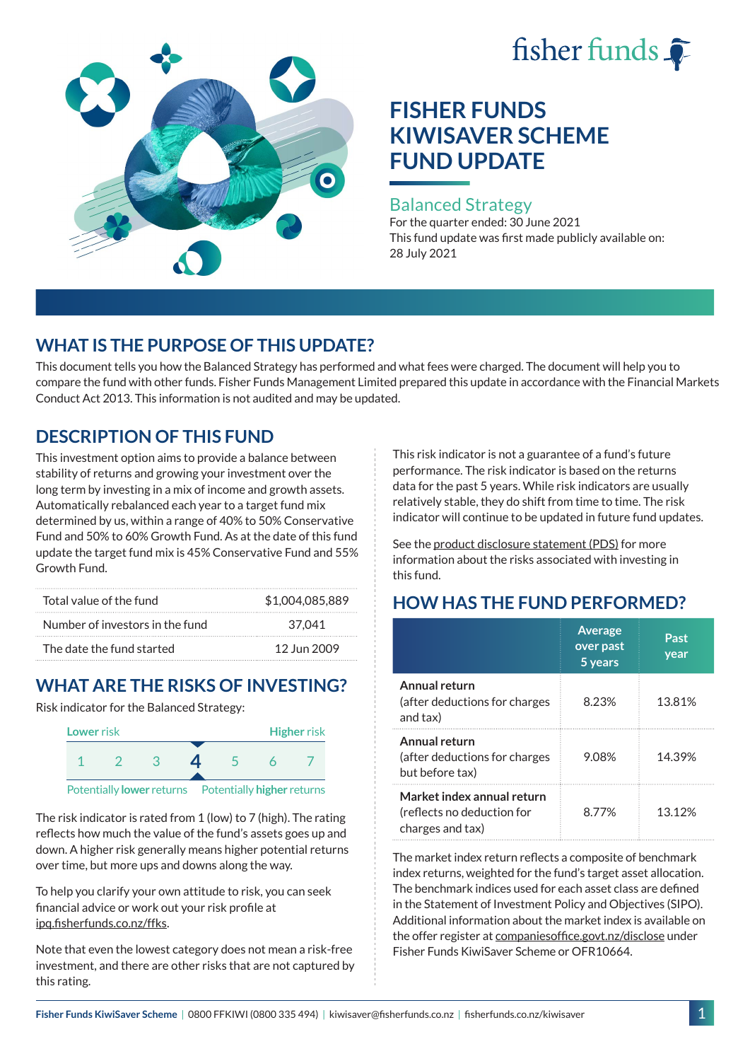# fisher funds



## **FISHER FUNDS KIWISAVER SCHEME FUND UPDATE**

#### Balanced Strategy

For the quarter ended: 30 June 2021 This fund update was first made publicly available on: 28 July 2021

## **WHAT IS THE PURPOSE OF THIS UPDATE?**

This document tells you how the Balanced Strategy has performed and what fees were charged. The document will help you to compare the fund with other funds. Fisher Funds Management Limited prepared this update in accordance with the Financial Markets Conduct Act 2013. This information is not audited and may be updated.

## **DESCRIPTION OF THIS FUND**

This investment option aims to provide a balance between stability of returns and growing your investment over the long term by investing in a mix of income and growth assets. Automatically rebalanced each year to a target fund mix determined by us, within a range of 40% to 50% Conservative Fund and 50% to 60% Growth Fund. As at the date of this fund update the target fund mix is 45% Conservative Fund and 55% Growth Fund.

| Total value of the fund         | \$1,004,085,889 |
|---------------------------------|-----------------|
| Number of investors in the fund | 37.041          |
| The date the fund started       | 12 Jun 2009     |

## **WHAT ARE THE RISKS OF INVESTING?**

Risk indicator for the Balanced Strategy:



The risk indicator is rated from 1 (low) to 7 (high). The rating reflects how much the value of the fund's assets goes up and down. A higher risk generally means higher potential returns over time, but more ups and downs along the way.

To help you clarify your own attitude to risk, you can seek financial advice or work out your risk profile at [ipq.fisherfunds.co.nz/ffks](https://ipq.fisherfunds.co.nz/ffks).

Note that even the lowest category does not mean a risk-free investment, and there are other risks that are not captured by this rating.

This risk indicator is not a guarantee of a fund's future performance. The risk indicator is based on the returns data for the past 5 years. While risk indicators are usually relatively stable, they do shift from time to time. The risk indicator will continue to be updated in future fund updates.

See the [product disclosure statement \(PDS\)](https://fisherfunds.co.nz/assets/PDS/Fisher-Funds-KiwiSaver-Scheme-PDS.pdf) for more information about the risks associated with investing in this fund.

## **HOW HAS THE FUND PERFORMED?**

|                                                                              | <b>Average</b><br>over past<br>5 years | Past<br>year |
|------------------------------------------------------------------------------|----------------------------------------|--------------|
| Annual return<br>(after deductions for charges<br>and tax)                   | 8.23%                                  | 13.81%       |
| Annual return<br>(after deductions for charges<br>but before tax)            | 9.08%                                  | 14.39%       |
| Market index annual return<br>(reflects no deduction for<br>charges and tax) | 8.77%                                  | 13.12%       |

The market index return reflects a composite of benchmark index returns, weighted for the fund's target asset allocation. The benchmark indices used for each asset class are defined in the Statement of Investment Policy and Objectives (SIPO). Additional information about the market index is available on the offer register at [companiesoffice.govt.nz/disclose](http://companiesoffice.govt.nz/disclose) under Fisher Funds KiwiSaver Scheme or OFR10664.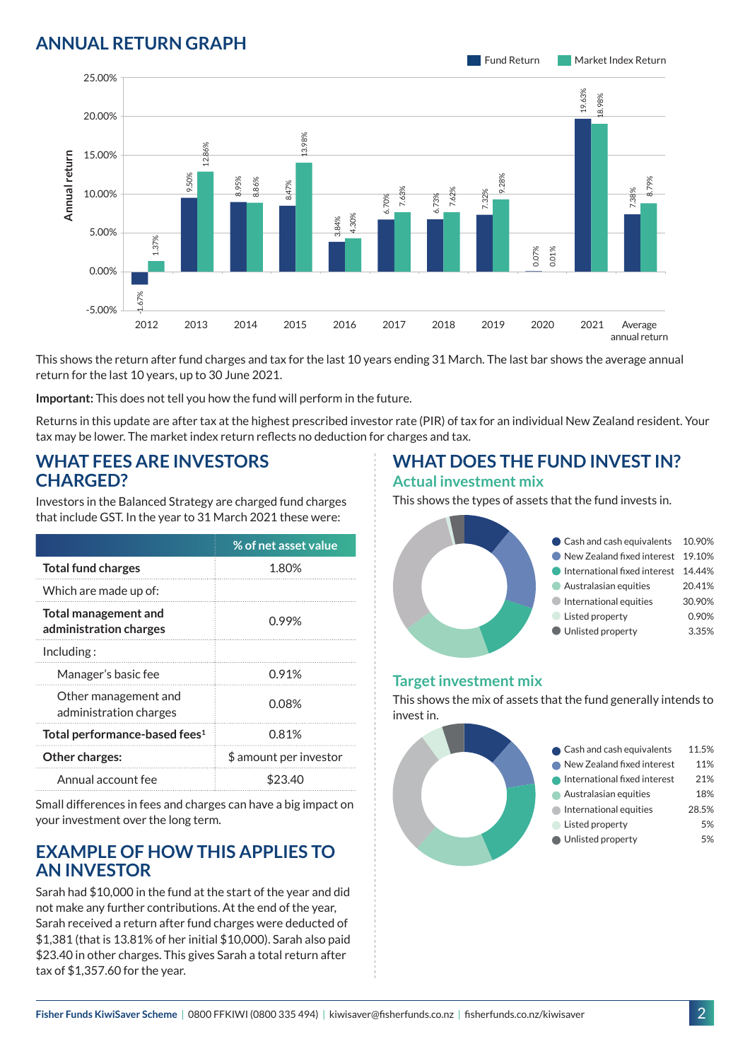### **ANNUAL RETURN GRAPH**



This shows the return after fund charges and tax for the last 10 years ending 31 March. The last bar shows the average annual return for the last 10 years, up to 30 June 2021.

**Important:** This does not tell you how the fund will perform in the future.

Returns in this update are after tax at the highest prescribed investor rate (PIR) of tax for an individual New Zealand resident. Your tax may be lower. The market index return reflects no deduction for charges and tax.

#### **WHAT FEES ARE INVESTORS CHARGED?**

Investors in the Balanced Strategy are charged fund charges that include GST. In the year to 31 March 2021 these were:

|                                                | % of net asset value   |
|------------------------------------------------|------------------------|
| <b>Total fund charges</b>                      | 1.80%                  |
| Which are made up of:                          |                        |
| Total management and<br>administration charges | 0.99%                  |
| Inding:                                        |                        |
| Manager's basic fee                            | 0.91%                  |
| Other management and<br>administration charges | 0.08%                  |
| Total performance-based fees <sup>1</sup>      | 0.81%                  |
| Other charges:                                 | \$ amount per investor |
| Annual account fee                             | \$23.40                |

Small differences in fees and charges can have a big impact on your investment over the long term.

#### **EXAMPLE OF HOW THIS APPLIES TO AN INVESTOR**

Sarah had \$10,000 in the fund at the start of the year and did not make any further contributions. At the end of the year, Sarah received a return after fund charges were deducted of \$1,381 (that is 13.81% of her initial \$10,000). Sarah also paid \$23.40 in other charges. This gives Sarah a total return after tax of \$1,357.60 for the year.

# **WHAT DOES THE FUND INVEST IN?**

#### **Actual investment mix**

This shows the types of assets that the fund invests in.



#### **Target investment mix**

This shows the mix of assets that the fund generally intends to invest in.